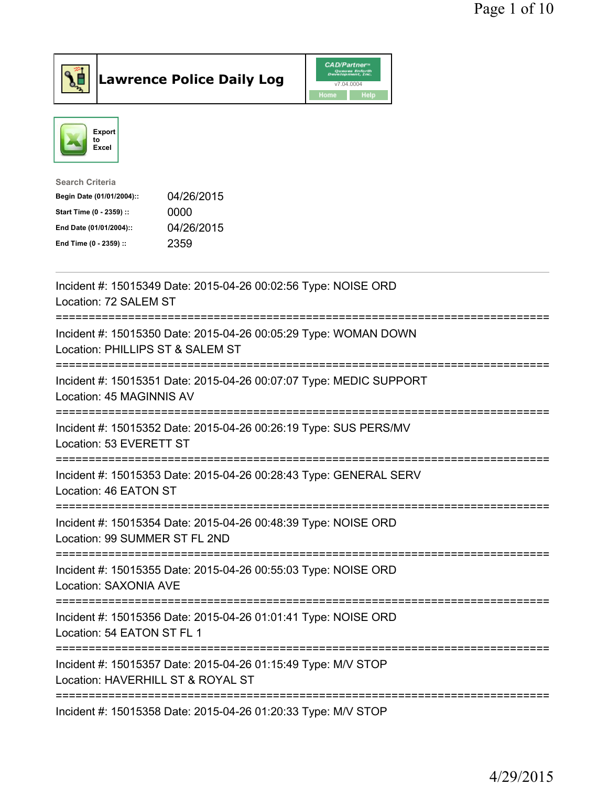



| <b>Search Criteria</b>    |            |
|---------------------------|------------|
| Begin Date (01/01/2004):: | 04/26/2015 |
| Start Time (0 - 2359) ::  | 0000       |
| End Date (01/01/2004)::   | 04/26/2015 |
| End Time (0 - 2359) ::    | 2359       |
|                           |            |

| Incident #: 15015349 Date: 2015-04-26 00:02:56 Type: NOISE ORD<br>Location: 72 SALEM ST             |
|-----------------------------------------------------------------------------------------------------|
| Incident #: 15015350 Date: 2015-04-26 00:05:29 Type: WOMAN DOWN<br>Location: PHILLIPS ST & SALEM ST |
| Incident #: 15015351 Date: 2015-04-26 00:07:07 Type: MEDIC SUPPORT<br>Location: 45 MAGINNIS AV      |
| Incident #: 15015352 Date: 2015-04-26 00:26:19 Type: SUS PERS/MV<br>Location: 53 EVERETT ST         |
| Incident #: 15015353 Date: 2015-04-26 00:28:43 Type: GENERAL SERV<br>Location: 46 EATON ST          |
| Incident #: 15015354 Date: 2015-04-26 00:48:39 Type: NOISE ORD<br>Location: 99 SUMMER ST FL 2ND     |
| Incident #: 15015355 Date: 2015-04-26 00:55:03 Type: NOISE ORD<br>Location: SAXONIA AVE             |
| Incident #: 15015356 Date: 2015-04-26 01:01:41 Type: NOISE ORD<br>Location: 54 EATON ST FL 1        |
| Incident #: 15015357 Date: 2015-04-26 01:15:49 Type: M/V STOP<br>Location: HAVERHILL ST & ROYAL ST  |
| Incident #: 15015358 Date: 2015-04-26 01:20:33 Type: M/V STOP                                       |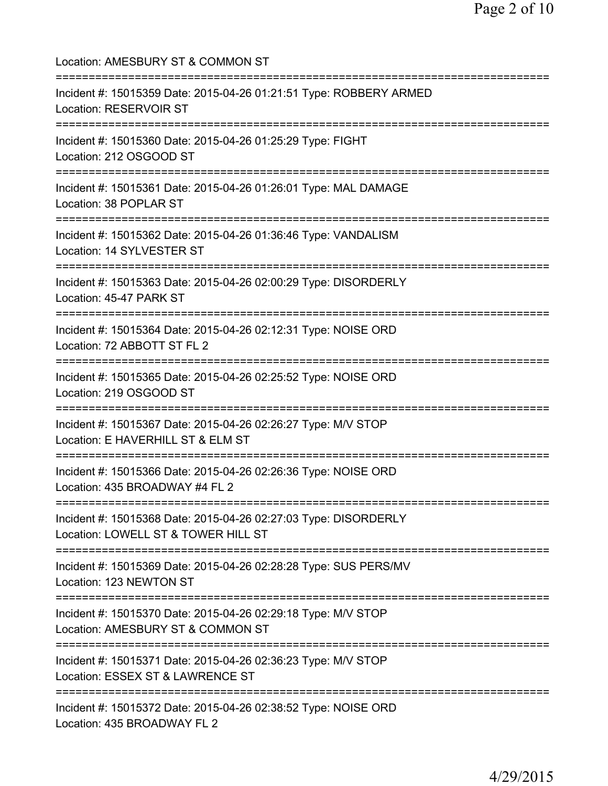Location: AMESBURY ST & COMMON ST =========================================================================== Incident #: 15015359 Date: 2015-04-26 01:21:51 Type: ROBBERY ARMED Location: RESERVOIR ST =========================================================================== Incident #: 15015360 Date: 2015-04-26 01:25:29 Type: FIGHT Location: 212 OSGOOD ST =========================================================================== Incident #: 15015361 Date: 2015-04-26 01:26:01 Type: MAL DAMAGE Location: 38 POPLAR ST =========================================================================== Incident #: 15015362 Date: 2015-04-26 01:36:46 Type: VANDALISM Location: 14 SYLVESTER ST =========================================================================== Incident #: 15015363 Date: 2015-04-26 02:00:29 Type: DISORDERLY Location: 45-47 PARK ST =========================================================================== Incident #: 15015364 Date: 2015-04-26 02:12:31 Type: NOISE ORD Location: 72 ABBOTT ST FL 2 =========================================================================== Incident #: 15015365 Date: 2015-04-26 02:25:52 Type: NOISE ORD Location: 219 OSGOOD ST =========================================================================== Incident #: 15015367 Date: 2015-04-26 02:26:27 Type: M/V STOP Location: E HAVERHILL ST & ELM ST =========================================================================== Incident #: 15015366 Date: 2015-04-26 02:26:36 Type: NOISE ORD Location: 435 BROADWAY #4 FL 2 =========================================================================== Incident #: 15015368 Date: 2015-04-26 02:27:03 Type: DISORDERLY Location: LOWELL ST & TOWER HILL ST =========================================================================== Incident #: 15015369 Date: 2015-04-26 02:28:28 Type: SUS PERS/MV Location: 123 NEWTON ST =========================================================================== Incident #: 15015370 Date: 2015-04-26 02:29:18 Type: M/V STOP Location: AMESBURY ST & COMMON ST =========================================================================== Incident #: 15015371 Date: 2015-04-26 02:36:23 Type: M/V STOP Location: ESSEX ST & LAWRENCE ST =========================================================================== Incident #: 15015372 Date: 2015-04-26 02:38:52 Type: NOISE ORD Location: 435 BROADWAY FL 2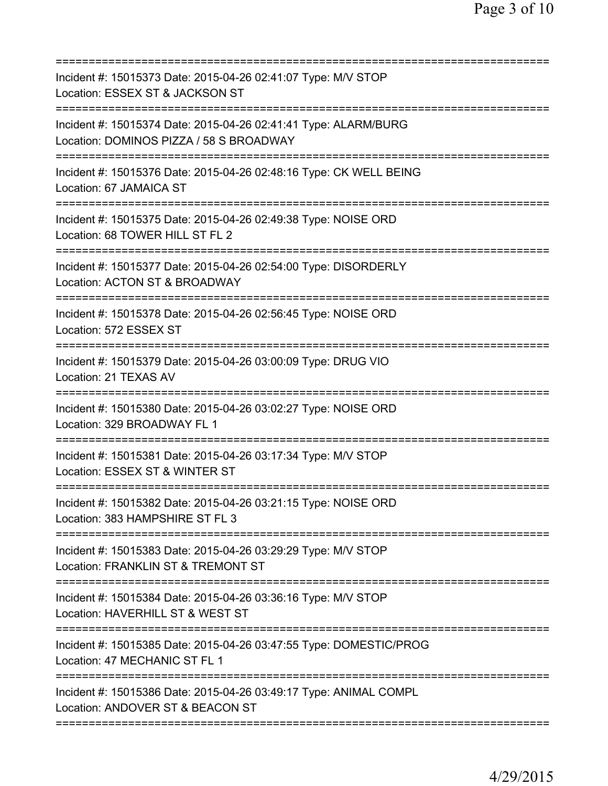| Incident #: 15015373 Date: 2015-04-26 02:41:07 Type: M/V STOP<br>Location: ESSEX ST & JACKSON ST                                    |
|-------------------------------------------------------------------------------------------------------------------------------------|
| Incident #: 15015374 Date: 2015-04-26 02:41:41 Type: ALARM/BURG<br>Location: DOMINOS PIZZA / 58 S BROADWAY                          |
| Incident #: 15015376 Date: 2015-04-26 02:48:16 Type: CK WELL BEING<br>Location: 67 JAMAICA ST                                       |
| Incident #: 15015375 Date: 2015-04-26 02:49:38 Type: NOISE ORD<br>Location: 68 TOWER HILL ST FL 2                                   |
| Incident #: 15015377 Date: 2015-04-26 02:54:00 Type: DISORDERLY<br>Location: ACTON ST & BROADWAY                                    |
| Incident #: 15015378 Date: 2015-04-26 02:56:45 Type: NOISE ORD<br>Location: 572 ESSEX ST                                            |
| Incident #: 15015379 Date: 2015-04-26 03:00:09 Type: DRUG VIO<br>Location: 21 TEXAS AV                                              |
| Incident #: 15015380 Date: 2015-04-26 03:02:27 Type: NOISE ORD<br>Location: 329 BROADWAY FL 1<br>===========                        |
| Incident #: 15015381 Date: 2015-04-26 03:17:34 Type: M/V STOP<br>Location: ESSEX ST & WINTER ST                                     |
| Incident #: 15015382 Date: 2015-04-26 03:21:15 Type: NOISE ORD<br>Location: 383 HAMPSHIRE ST FL 3                                   |
| Incident #: 15015383 Date: 2015-04-26 03:29:29 Type: M/V STOP<br>Location: FRANKLIN ST & TREMONT ST                                 |
| ==============================<br>Incident #: 15015384 Date: 2015-04-26 03:36:16 Type: M/V STOP<br>Location: HAVERHILL ST & WEST ST |
| ===========================<br>Incident #: 15015385 Date: 2015-04-26 03:47:55 Type: DOMESTIC/PROG<br>Location: 47 MECHANIC ST FL 1  |
| Incident #: 15015386 Date: 2015-04-26 03:49:17 Type: ANIMAL COMPL<br>Location: ANDOVER ST & BEACON ST                               |
|                                                                                                                                     |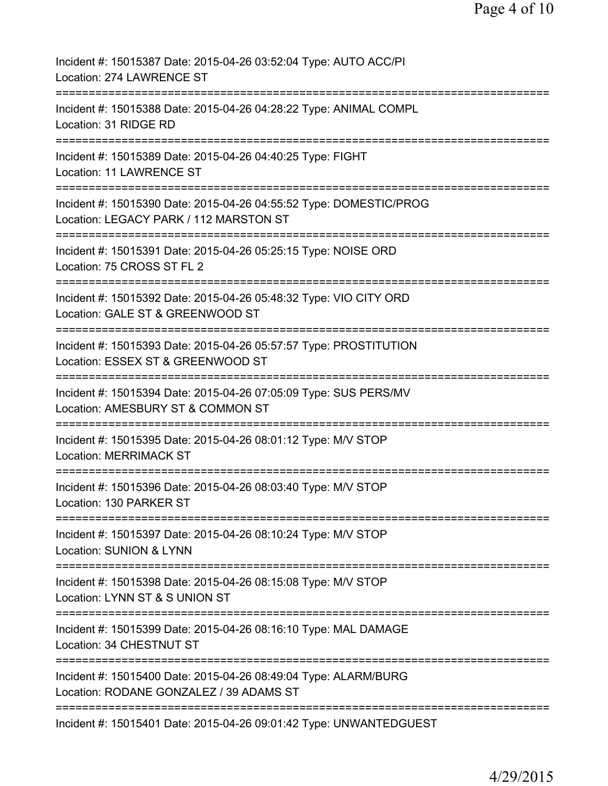| Incident #: 15015387 Date: 2015-04-26 03:52:04 Type: AUTO ACC/PI<br>Location: 274 LAWRENCE ST                                                    |
|--------------------------------------------------------------------------------------------------------------------------------------------------|
| Incident #: 15015388 Date: 2015-04-26 04:28:22 Type: ANIMAL COMPL<br>Location: 31 RIDGE RD                                                       |
| Incident #: 15015389 Date: 2015-04-26 04:40:25 Type: FIGHT<br>Location: 11 LAWRENCE ST                                                           |
| Incident #: 15015390 Date: 2015-04-26 04:55:52 Type: DOMESTIC/PROG<br>Location: LEGACY PARK / 112 MARSTON ST                                     |
| :=========================<br>Incident #: 15015391 Date: 2015-04-26 05:25:15 Type: NOISE ORD<br>Location: 75 CROSS ST FL 2                       |
| Incident #: 15015392 Date: 2015-04-26 05:48:32 Type: VIO CITY ORD<br>Location: GALE ST & GREENWOOD ST                                            |
| Incident #: 15015393 Date: 2015-04-26 05:57:57 Type: PROSTITUTION<br>Location: ESSEX ST & GREENWOOD ST                                           |
| Incident #: 15015394 Date: 2015-04-26 07:05:09 Type: SUS PERS/MV<br>Location: AMESBURY ST & COMMON ST                                            |
| Incident #: 15015395 Date: 2015-04-26 08:01:12 Type: M/V STOP<br><b>Location: MERRIMACK ST</b>                                                   |
| Incident #: 15015396 Date: 2015-04-26 08:03:40 Type: M/V STOP<br>Location: 130 PARKER ST                                                         |
| Incident #: 15015397 Date: 2015-04-26 08:10:24 Type: M/V STOP<br><b>Location: SUNION &amp; LYNN</b>                                              |
| Incident #: 15015398 Date: 2015-04-26 08:15:08 Type: M/V STOP<br>Location: LYNN ST & S UNION ST                                                  |
| Incident #: 15015399 Date: 2015-04-26 08:16:10 Type: MAL DAMAGE<br>Location: 34 CHESTNUT ST                                                      |
| Incident #: 15015400 Date: 2015-04-26 08:49:04 Type: ALARM/BURG<br>Location: RODANE GONZALEZ / 39 ADAMS ST                                       |
| =====================================<br>=================================<br>Incident #: 15015401 Date: 2015-04-26 09:01:42 Type: UNWANTEDGUEST |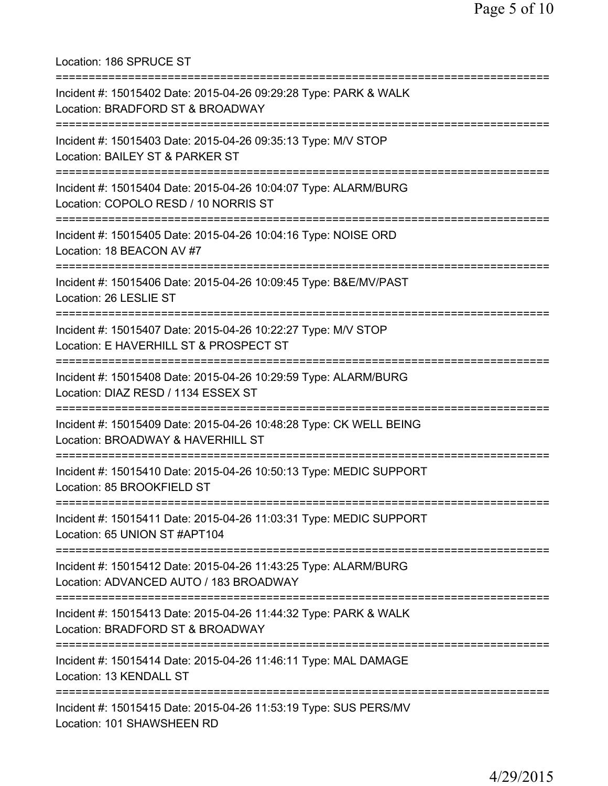Location: 186 SPRUCE ST =========================================================================== Incident #: 15015402 Date: 2015-04-26 09:29:28 Type: PARK & WALK Location: BRADFORD ST & BROADWAY =========================================================================== Incident #: 15015403 Date: 2015-04-26 09:35:13 Type: M/V STOP Location: BAILEY ST & PARKER ST =========================================================================== Incident #: 15015404 Date: 2015-04-26 10:04:07 Type: ALARM/BURG Location: COPOLO RESD / 10 NORRIS ST =========================================================================== Incident #: 15015405 Date: 2015-04-26 10:04:16 Type: NOISE ORD Location: 18 BEACON AV #7 =========================================================================== Incident #: 15015406 Date: 2015-04-26 10:09:45 Type: B&E/MV/PAST Location: 26 LESLIE ST =========================================================================== Incident #: 15015407 Date: 2015-04-26 10:22:27 Type: M/V STOP Location: E HAVERHILL ST & PROSPECT ST =========================================================================== Incident #: 15015408 Date: 2015-04-26 10:29:59 Type: ALARM/BURG Location: DIAZ RESD / 1134 ESSEX ST =========================================================================== Incident #: 15015409 Date: 2015-04-26 10:48:28 Type: CK WELL BEING Location: BROADWAY & HAVERHILL ST =========================================================================== Incident #: 15015410 Date: 2015-04-26 10:50:13 Type: MEDIC SUPPORT Location: 85 BROOKFIELD ST =========================================================================== Incident #: 15015411 Date: 2015-04-26 11:03:31 Type: MEDIC SUPPORT Location: 65 UNION ST #APT104 =========================================================================== Incident #: 15015412 Date: 2015-04-26 11:43:25 Type: ALARM/BURG Location: ADVANCED AUTO / 183 BROADWAY =========================================================================== Incident #: 15015413 Date: 2015-04-26 11:44:32 Type: PARK & WALK Location: BRADFORD ST & BROADWAY =========================================================================== Incident #: 15015414 Date: 2015-04-26 11:46:11 Type: MAL DAMAGE Location: 13 KENDALL ST =========================================================================== Incident #: 15015415 Date: 2015-04-26 11:53:19 Type: SUS PERS/MV Location: 101 SHAWSHEEN RD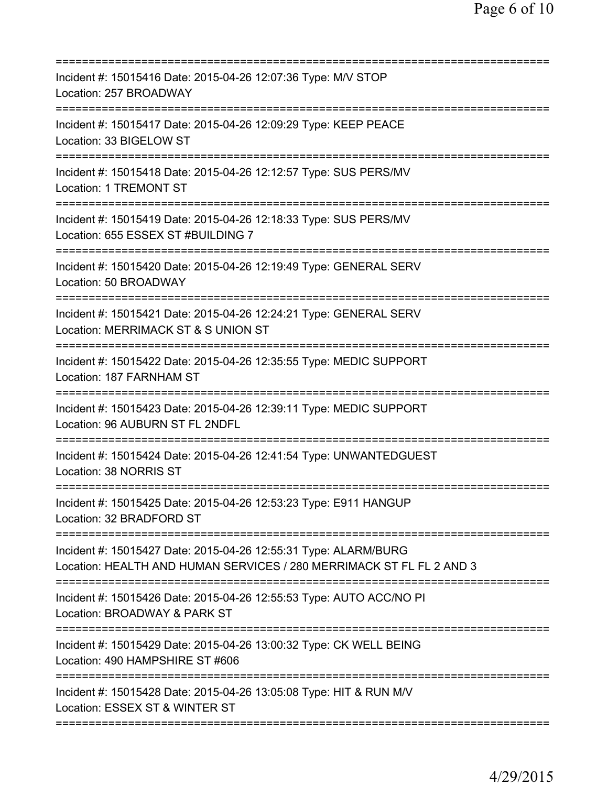| Incident #: 15015416 Date: 2015-04-26 12:07:36 Type: M/V STOP<br>Location: 257 BROADWAY                                                 |
|-----------------------------------------------------------------------------------------------------------------------------------------|
| Incident #: 15015417 Date: 2015-04-26 12:09:29 Type: KEEP PEACE<br>Location: 33 BIGELOW ST                                              |
| Incident #: 15015418 Date: 2015-04-26 12:12:57 Type: SUS PERS/MV<br><b>Location: 1 TREMONT ST</b>                                       |
| Incident #: 15015419 Date: 2015-04-26 12:18:33 Type: SUS PERS/MV<br>Location: 655 ESSEX ST #BUILDING 7                                  |
| =========================<br>Incident #: 15015420 Date: 2015-04-26 12:19:49 Type: GENERAL SERV<br>Location: 50 BROADWAY                 |
| Incident #: 15015421 Date: 2015-04-26 12:24:21 Type: GENERAL SERV<br>Location: MERRIMACK ST & S UNION ST                                |
| Incident #: 15015422 Date: 2015-04-26 12:35:55 Type: MEDIC SUPPORT<br>Location: 187 FARNHAM ST                                          |
| Incident #: 15015423 Date: 2015-04-26 12:39:11 Type: MEDIC SUPPORT<br>Location: 96 AUBURN ST FL 2NDFL<br>========================       |
| Incident #: 15015424 Date: 2015-04-26 12:41:54 Type: UNWANTEDGUEST<br>Location: 38 NORRIS ST                                            |
| Incident #: 15015425 Date: 2015-04-26 12:53:23 Type: E911 HANGUP<br>Location: 32 BRADFORD ST                                            |
| Incident #: 15015427 Date: 2015-04-26 12:55:31 Type: ALARM/BURG<br>Location: HEALTH AND HUMAN SERVICES / 280 MERRIMACK ST FL FL 2 AND 3 |
| Incident #: 15015426 Date: 2015-04-26 12:55:53 Type: AUTO ACC/NO PI<br>Location: BROADWAY & PARK ST                                     |
| Incident #: 15015429 Date: 2015-04-26 13:00:32 Type: CK WELL BEING<br>Location: 490 HAMPSHIRE ST #606                                   |
| Incident #: 15015428 Date: 2015-04-26 13:05:08 Type: HIT & RUN M/V<br>Location: ESSEX ST & WINTER ST                                    |
|                                                                                                                                         |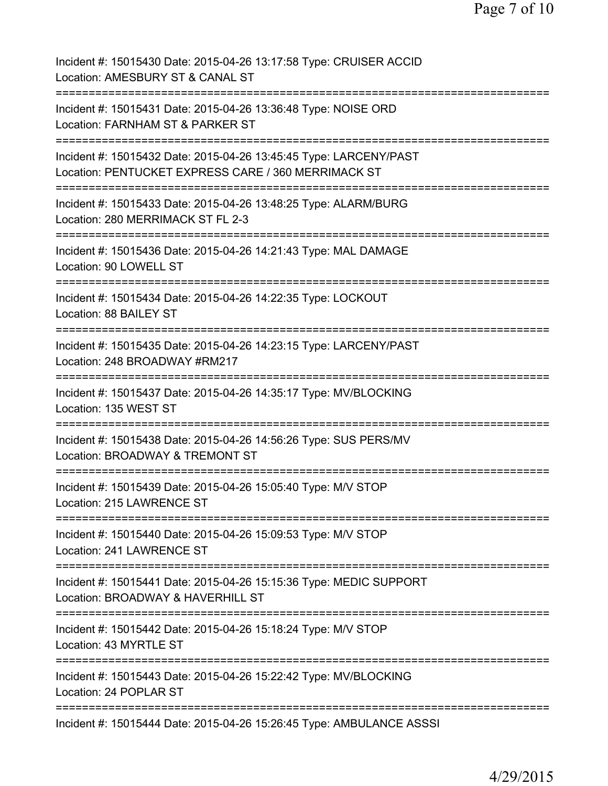| Incident #: 15015430 Date: 2015-04-26 13:17:58 Type: CRUISER ACCID<br>Location: AMESBURY ST & CANAL ST                                     |
|--------------------------------------------------------------------------------------------------------------------------------------------|
| Incident #: 15015431 Date: 2015-04-26 13:36:48 Type: NOISE ORD<br>Location: FARNHAM ST & PARKER ST                                         |
| Incident #: 15015432 Date: 2015-04-26 13:45:45 Type: LARCENY/PAST<br>Location: PENTUCKET EXPRESS CARE / 360 MERRIMACK ST                   |
| Incident #: 15015433 Date: 2015-04-26 13:48:25 Type: ALARM/BURG<br>Location: 280 MERRIMACK ST FL 2-3                                       |
| Incident #: 15015436 Date: 2015-04-26 14:21:43 Type: MAL DAMAGE<br>Location: 90 LOWELL ST                                                  |
| Incident #: 15015434 Date: 2015-04-26 14:22:35 Type: LOCKOUT<br>Location: 88 BAILEY ST<br>:=============                                   |
| Incident #: 15015435 Date: 2015-04-26 14:23:15 Type: LARCENY/PAST<br>Location: 248 BROADWAY #RM217                                         |
| Incident #: 15015437 Date: 2015-04-26 14:35:17 Type: MV/BLOCKING<br>Location: 135 WEST ST                                                  |
| .==================================<br>Incident #: 15015438 Date: 2015-04-26 14:56:26 Type: SUS PERS/MV<br>Location: BROADWAY & TREMONT ST |
| Incident #: 15015439 Date: 2015-04-26 15:05:40 Type: M/V STOP<br>Location: 215 LAWRENCE ST                                                 |
| Incident #: 15015440 Date: 2015-04-26 15:09:53 Type: M/V STOP<br>Location: 241 LAWRENCE ST                                                 |
| Incident #: 15015441 Date: 2015-04-26 15:15:36 Type: MEDIC SUPPORT<br>Location: BROADWAY & HAVERHILL ST                                    |
| Incident #: 15015442 Date: 2015-04-26 15:18:24 Type: M/V STOP<br>Location: 43 MYRTLE ST                                                    |
| Incident #: 15015443 Date: 2015-04-26 15:22:42 Type: MV/BLOCKING<br>Location: 24 POPLAR ST                                                 |
| Incident #: 15015444 Date: 2015-04-26 15:26:45 Type: AMBULANCE ASSSI                                                                       |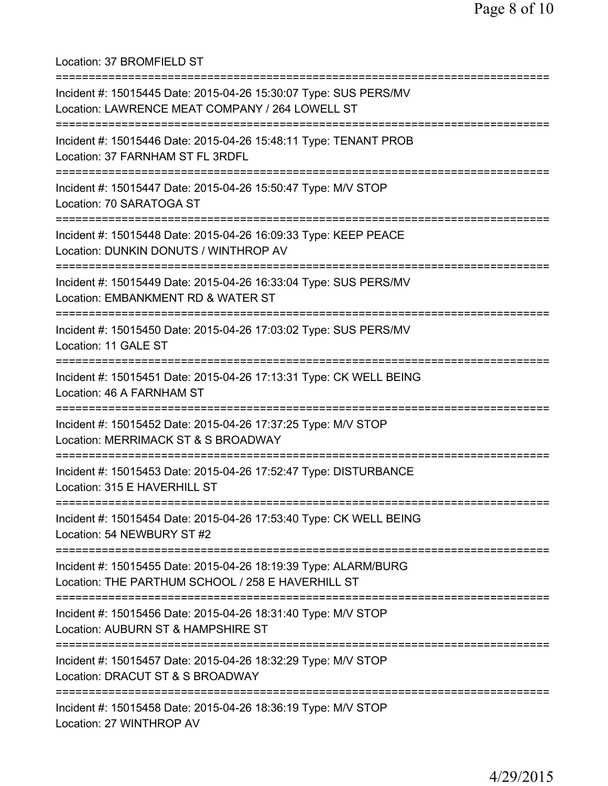Location: 37 BROMFIELD ST =========================================================================== Incident #: 15015445 Date: 2015-04-26 15:30:07 Type: SUS PERS/MV Location: LAWRENCE MEAT COMPANY / 264 LOWELL ST =========================================================================== Incident #: 15015446 Date: 2015-04-26 15:48:11 Type: TENANT PROB Location: 37 FARNHAM ST FL 3RDFL =========================================================================== Incident #: 15015447 Date: 2015-04-26 15:50:47 Type: M/V STOP Location: 70 SARATOGA ST =========================================================================== Incident #: 15015448 Date: 2015-04-26 16:09:33 Type: KEEP PEACE Location: DUNKIN DONUTS / WINTHROP AV =========================================================================== Incident #: 15015449 Date: 2015-04-26 16:33:04 Type: SUS PERS/MV Location: EMBANKMENT RD & WATER ST =========================================================================== Incident #: 15015450 Date: 2015-04-26 17:03:02 Type: SUS PERS/MV Location: 11 GALE ST =========================================================================== Incident #: 15015451 Date: 2015-04-26 17:13:31 Type: CK WELL BEING Location: 46 A FARNHAM ST =========================================================================== Incident #: 15015452 Date: 2015-04-26 17:37:25 Type: M/V STOP Location: MERRIMACK ST & S BROADWAY =========================================================================== Incident #: 15015453 Date: 2015-04-26 17:52:47 Type: DISTURBANCE Location: 315 E HAVERHILL ST =========================================================================== Incident #: 15015454 Date: 2015-04-26 17:53:40 Type: CK WELL BEING Location: 54 NEWBURY ST #2 =========================================================================== Incident #: 15015455 Date: 2015-04-26 18:19:39 Type: ALARM/BURG Location: THE PARTHUM SCHOOL / 258 E HAVERHILL ST =========================================================================== Incident #: 15015456 Date: 2015-04-26 18:31:40 Type: M/V STOP Location: AUBURN ST & HAMPSHIRE ST =========================================================================== Incident #: 15015457 Date: 2015-04-26 18:32:29 Type: M/V STOP Location: DRACUT ST & S BROADWAY =========================================================================== Incident #: 15015458 Date: 2015-04-26 18:36:19 Type: M/V STOP Location: 27 WINTHROP AV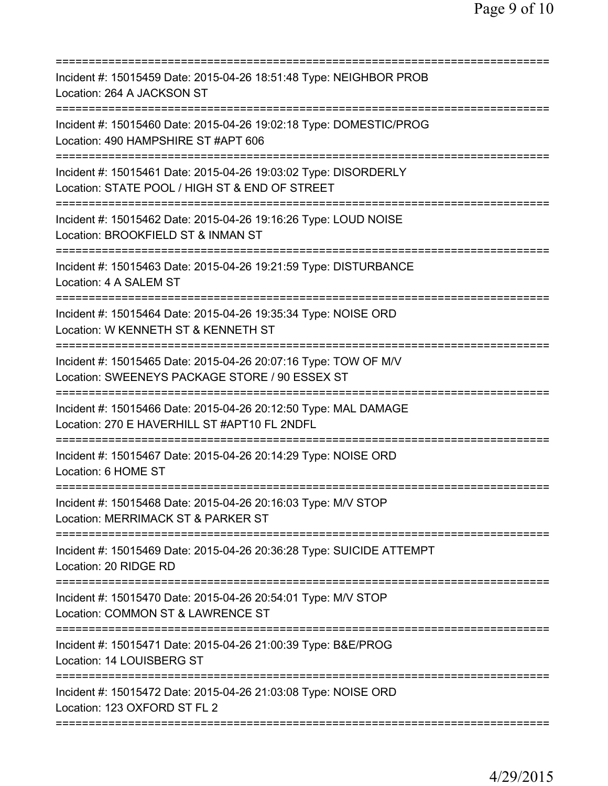| Incident #: 15015459 Date: 2015-04-26 18:51:48 Type: NEIGHBOR PROB<br>Location: 264 A JACKSON ST                                 |
|----------------------------------------------------------------------------------------------------------------------------------|
| Incident #: 15015460 Date: 2015-04-26 19:02:18 Type: DOMESTIC/PROG<br>Location: 490 HAMPSHIRE ST #APT 606                        |
| Incident #: 15015461 Date: 2015-04-26 19:03:02 Type: DISORDERLY<br>Location: STATE POOL / HIGH ST & END OF STREET                |
| Incident #: 15015462 Date: 2015-04-26 19:16:26 Type: LOUD NOISE<br>Location: BROOKFIELD ST & INMAN ST                            |
| =========================<br>Incident #: 15015463 Date: 2015-04-26 19:21:59 Type: DISTURBANCE<br>Location: 4 A SALEM ST          |
| Incident #: 15015464 Date: 2015-04-26 19:35:34 Type: NOISE ORD<br>Location: W KENNETH ST & KENNETH ST                            |
| Incident #: 15015465 Date: 2015-04-26 20:07:16 Type: TOW OF M/V<br>Location: SWEENEYS PACKAGE STORE / 90 ESSEX ST                |
| Incident #: 15015466 Date: 2015-04-26 20:12:50 Type: MAL DAMAGE<br>Location: 270 E HAVERHILL ST #APT10 FL 2NDFL                  |
| Incident #: 15015467 Date: 2015-04-26 20:14:29 Type: NOISE ORD<br>Location: 6 HOME ST                                            |
| Incident #: 15015468 Date: 2015-04-26 20:16:03 Type: M/V STOP<br>Location: MERRIMACK ST & PARKER ST                              |
| ===============================<br>Incident #: 15015469 Date: 2015-04-26 20:36:28 Type: SUICIDE ATTEMPT<br>Location: 20 RIDGE RD |
| Incident #: 15015470 Date: 2015-04-26 20:54:01 Type: M/V STOP<br>Location: COMMON ST & LAWRENCE ST                               |
| Incident #: 15015471 Date: 2015-04-26 21:00:39 Type: B&E/PROG<br>Location: 14 LOUISBERG ST                                       |
| Incident #: 15015472 Date: 2015-04-26 21:03:08 Type: NOISE ORD<br>Location: 123 OXFORD ST FL 2                                   |
|                                                                                                                                  |